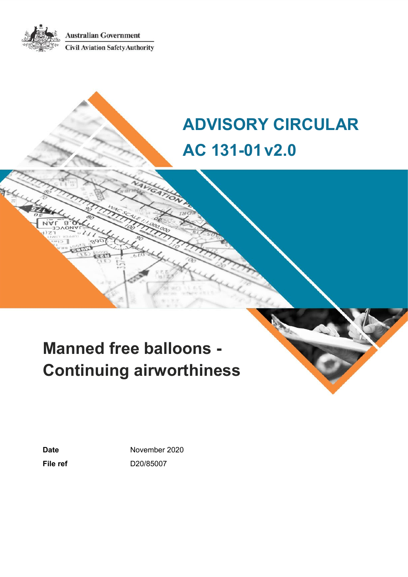**Australian Government Civil Aviation Safety Authority** 

# **ADVISORY CIRCULAR AC 131-01v2.0**

# **Manned free balloons - Continuing airworthiness**

Date **November 2020 File ref** D20/85007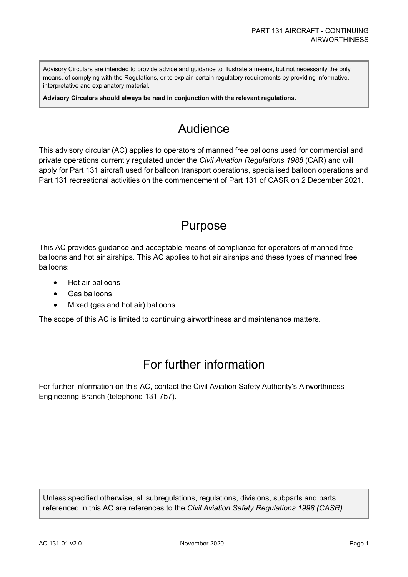Advisory Circulars are intended to provide advice and guidance to illustrate a means, but not necessarily the only means, of complying with the Regulations, or to explain certain regulatory requirements by providing informative, interpretative and explanatory material.

**Advisory Circulars should always be read in conjunction with the relevant regulations.**

## Audience

This advisory circular (AC) applies to operators of manned free balloons used for commercial and private operations currently regulated under the *Civil Aviation Regulations 1988* (CAR) and will apply for Part 131 aircraft used for balloon transport operations, specialised balloon operations and Part 131 recreational activities on the commencement of Part 131 of CASR on 2 December 2021.

### Purpose

This AC provides guidance and acceptable means of compliance for operators of manned free balloons and hot air airships. This AC applies to hot air airships and these types of manned free balloons:

- Hot air balloons
- Gas balloons
- Mixed (gas and hot air) balloons

The scope of this AC is limited to continuing airworthiness and maintenance matters.

### For further information

For further information on this AC, contact the Civil Aviation Safety Authority's Airworthiness Engineering Branch (telephone 131 757).

Unless specified otherwise, all subregulations, regulations, divisions, subparts and parts referenced in this AC are references to the *Civil Aviation Safety Regulations 1998 (CASR)*.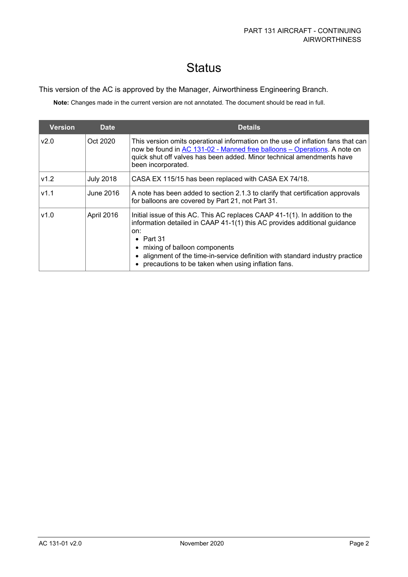# **Status**

#### This version of the AC is approved by the Manager, Airworthiness Engineering Branch.

**Note:** Changes made in the current version are not annotated. The document should be read in full.

| <b>Version</b> | <b>Date</b>      | <b>Details</b>                                                                                                                                                                                                                                                                                                                                            |
|----------------|------------------|-----------------------------------------------------------------------------------------------------------------------------------------------------------------------------------------------------------------------------------------------------------------------------------------------------------------------------------------------------------|
| v2.0           | Oct 2020         | This version omits operational information on the use of inflation fans that can<br>now be found in AC 131-02 - Manned free balloons - Operations. A note on<br>quick shut off valves has been added. Minor technical amendments have<br>been incorporated.                                                                                               |
| v1.2           | <b>July 2018</b> | CASA EX 115/15 has been replaced with CASA EX 74/18.                                                                                                                                                                                                                                                                                                      |
| V1.1           | June 2016        | A note has been added to section 2.1.3 to clarify that certification approvals<br>for balloons are covered by Part 21, not Part 31.                                                                                                                                                                                                                       |
| v1.0           | April 2016       | Initial issue of this AC. This AC replaces CAAP 41-1(1). In addition to the<br>information detailed in CAAP 41-1(1) this AC provides additional guidance<br>on:<br>• Part $31$<br>• mixing of balloon components<br>• alignment of the time-in-service definition with standard industry practice<br>• precautions to be taken when using inflation fans. |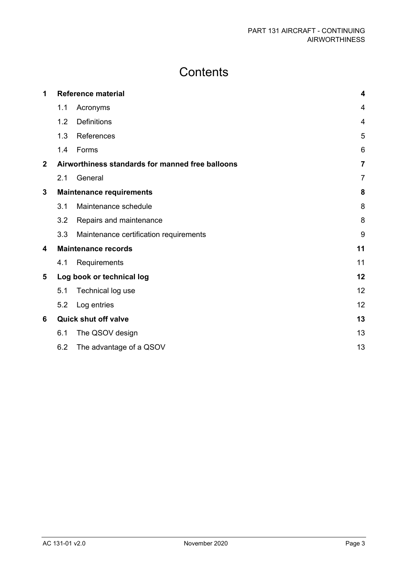# **Contents**

| 1                       |                             | <b>Reference material</b>                        |                |
|-------------------------|-----------------------------|--------------------------------------------------|----------------|
|                         | 1.1                         | Acronyms                                         | $\overline{4}$ |
|                         | 1.2                         | <b>Definitions</b>                               | $\overline{4}$ |
|                         | 1.3                         | References                                       | 5              |
|                         | 1.4                         | Forms                                            | 6              |
| $\overline{\mathbf{2}}$ |                             | Airworthiness standards for manned free balloons | $\overline{7}$ |
|                         | 2.1                         | General                                          | $\overline{7}$ |
| 3                       |                             | <b>Maintenance requirements</b>                  |                |
|                         | 3.1                         | Maintenance schedule                             | 8              |
|                         | 3.2                         | Repairs and maintenance                          | 8              |
|                         | 3.3                         | Maintenance certification requirements           | 9              |
| 4                       |                             | <b>Maintenance records</b>                       | 11             |
|                         | 4.1                         | Requirements                                     | 11             |
| 5                       |                             | Log book or technical log                        | 12             |
|                         | 5.1                         | Technical log use                                | 12             |
|                         | 5.2                         | Log entries                                      | 12             |
| 6                       | <b>Quick shut off valve</b> |                                                  | 13             |
|                         | 6.1                         | The QSOV design                                  | 13             |
|                         | 6.2                         | The advantage of a QSOV                          | 13             |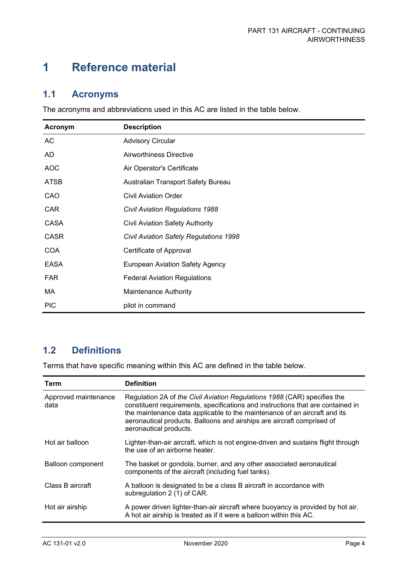## <span id="page-4-0"></span>**1 Reference material**

### <span id="page-4-1"></span>**1.1 Acronyms**

The acronyms and abbreviations used in this AC are listed in the table below.

| Acronym     | <b>Description</b>                            |
|-------------|-----------------------------------------------|
| AC          | <b>Advisory Circular</b>                      |
| AD.         | Airworthiness Directive                       |
| <b>AOC</b>  | Air Operator's Certificate                    |
| <b>ATSB</b> | Australian Transport Safety Bureau            |
| CAO         | <b>Civil Aviation Order</b>                   |
| <b>CAR</b>  | <b>Civil Aviation Regulations 1988</b>        |
| <b>CASA</b> | <b>Civil Aviation Safety Authority</b>        |
| <b>CASR</b> | <b>Civil Aviation Safety Regulations 1998</b> |
| <b>COA</b>  | Certificate of Approval                       |
| <b>EASA</b> | <b>European Aviation Safety Agency</b>        |
| <b>FAR</b>  | <b>Federal Aviation Regulations</b>           |
| МA          | <b>Maintenance Authority</b>                  |
| <b>PIC</b>  | pilot in command                              |

### <span id="page-4-2"></span>**1.2 Definitions**

Terms that have specific meaning within this AC are defined in the table below.

| Term                         | <b>Definition</b>                                                                                                                                                                                                                                                                                                                            |
|------------------------------|----------------------------------------------------------------------------------------------------------------------------------------------------------------------------------------------------------------------------------------------------------------------------------------------------------------------------------------------|
| Approved maintenance<br>data | Regulation 2A of the Civil Aviation Regulations 1988 (CAR) specifies the<br>constituent requirements, specifications and instructions that are contained in<br>the maintenance data applicable to the maintenance of an aircraft and its<br>aeronautical products. Balloons and airships are aircraft comprised of<br>aeronautical products. |
| Hot air balloon              | Lighter-than-air aircraft, which is not engine-driven and sustains flight through<br>the use of an airborne heater.                                                                                                                                                                                                                          |
| Balloon component            | The basket or gondola, burner, and any other associated aeronautical<br>components of the aircraft (including fuel tanks).                                                                                                                                                                                                                   |
| Class B aircraft             | A balloon is designated to be a class B aircraft in accordance with<br>subregulation 2 (1) of CAR.                                                                                                                                                                                                                                           |
| Hot air airship              | A power driven lighter-than-air aircraft where buoyancy is provided by hot air.<br>A hot air airship is treated as if it were a balloon within this AC.                                                                                                                                                                                      |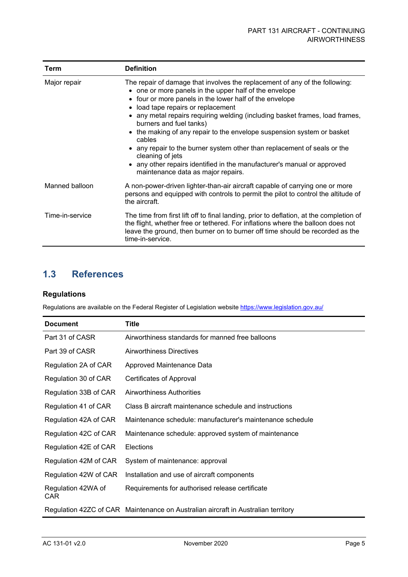| Term            | <b>Definition</b>                                                                                                                                                                                                                                                                                                                                                                                                                                                                                                                                                                                                                                  |
|-----------------|----------------------------------------------------------------------------------------------------------------------------------------------------------------------------------------------------------------------------------------------------------------------------------------------------------------------------------------------------------------------------------------------------------------------------------------------------------------------------------------------------------------------------------------------------------------------------------------------------------------------------------------------------|
| Major repair    | The repair of damage that involves the replacement of any of the following:<br>• one or more panels in the upper half of the envelope<br>• four or more panels in the lower half of the envelope<br>• load tape repairs or replacement<br>any metal repairs requiring welding (including basket frames, load frames,<br>burners and fuel tanks)<br>• the making of any repair to the envelope suspension system or basket<br>cables<br>• any repair to the burner system other than replacement of seals or the<br>cleaning of jets<br>any other repairs identified in the manufacturer's manual or approved<br>maintenance data as major repairs. |
| Manned balloon  | A non-power-driven lighter-than-air aircraft capable of carrying one or more<br>persons and equipped with controls to permit the pilot to control the altitude of<br>the aircraft.                                                                                                                                                                                                                                                                                                                                                                                                                                                                 |
| Time-in-service | The time from first lift off to final landing, prior to deflation, at the completion of<br>the flight, whether free or tethered. For inflations where the balloon does not<br>leave the ground, then burner on to burner off time should be recorded as the<br>time-in-service.                                                                                                                                                                                                                                                                                                                                                                    |

### <span id="page-5-0"></span>**1.3 References**

#### **Regulations**

Regulations are available on the Federal Register of Legislation website<https://www.legislation.gov.au/>

| <b>Document</b>            | <b>Title</b>                                                                      |
|----------------------------|-----------------------------------------------------------------------------------|
| Part 31 of CASR            | Airworthiness standards for manned free balloons                                  |
| Part 39 of CASR            | <b>Airworthiness Directives</b>                                                   |
| Regulation 2A of CAR       | Approved Maintenance Data                                                         |
| Regulation 30 of CAR       | Certificates of Approval                                                          |
| Regulation 33B of CAR      | <b>Airworthiness Authorities</b>                                                  |
| Regulation 41 of CAR       | Class B aircraft maintenance schedule and instructions                            |
| Regulation 42A of CAR      | Maintenance schedule: manufacturer's maintenance schedule                         |
| Regulation 42C of CAR      | Maintenance schedule: approved system of maintenance                              |
| Regulation 42E of CAR      | <b>Elections</b>                                                                  |
| Regulation 42M of CAR      | System of maintenance: approval                                                   |
| Regulation 42W of CAR      | Installation and use of aircraft components                                       |
| Regulation 42WA of<br>CAR. | Requirements for authorised release certificate                                   |
|                            | Regulation 42ZC of CAR Maintenance on Australian aircraft in Australian territory |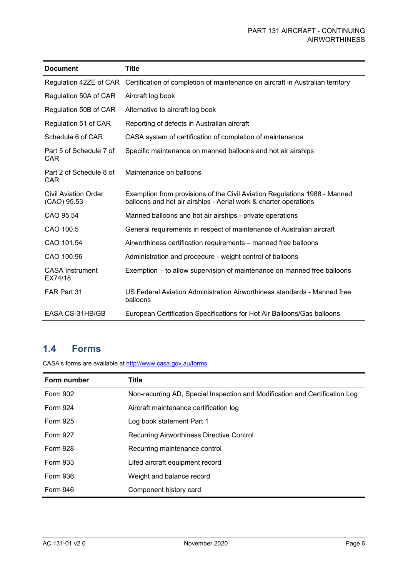| <b>Document</b>                       | <b>Title</b>                                                                                                                                  |
|---------------------------------------|-----------------------------------------------------------------------------------------------------------------------------------------------|
|                                       | Regulation 42ZE of CAR Certification of completion of maintenance on aircraft in Australian territory                                         |
| Regulation 50A of CAR                 | Aircraft log book                                                                                                                             |
| Regulation 50B of CAR                 | Alternative to aircraft log book                                                                                                              |
| Regulation 51 of CAR                  | Reporting of defects in Australian aircraft                                                                                                   |
| Schedule 6 of CAR                     | CASA system of certification of completion of maintenance                                                                                     |
| Part 5 of Schedule 7 of<br><b>CAR</b> | Specific maintenance on manned balloons and hot air airships                                                                                  |
| Part 2 of Schedule 8 of<br>CAR        | Maintenance on balloons                                                                                                                       |
| Civil Aviation Order<br>(CAO) 95.53   | Exemption from provisions of the Civil Aviation Regulations 1988 - Manned<br>balloons and hot air airships - Aerial work & charter operations |
| CAO 95.54                             | Manned balloons and hot air airships - private operations                                                                                     |
| CAO 100.5                             | General requirements in respect of maintenance of Australian aircraft                                                                         |
| CAO 101.54                            | Airworthiness certification requirements – manned free balloons                                                                               |
| CAO 100.96                            | Administration and procedure - weight control of balloons                                                                                     |
| <b>CASA Instrument</b><br>EX74/18     | Exemption – to allow supervision of maintenance on manned free balloons                                                                       |
| FAR Part 31                           | US Federal Aviation Administration Airworthiness standards - Manned free<br>balloons                                                          |
| EASA CS-31HB/GB                       | European Certification Specifications for Hot Air Balloons/Gas balloons                                                                       |

#### <span id="page-6-0"></span>**1.4 Forms**

CASA's forms are available at<http://www.casa.gov.au/forms>

| Form number     | Title                                                                       |
|-----------------|-----------------------------------------------------------------------------|
| <b>Form 902</b> | Non-recurring AD, Special Inspection and Modification and Certification Log |
| Form 924        | Aircraft maintenance certification log                                      |
| Form 925        | Log book statement Part 1                                                   |
| <b>Form 927</b> | Recurring Airworthiness Directive Control                                   |
| Form 928        | Recurring maintenance control                                               |
| Form 933        | Lifed aircraft equipment record                                             |
| <b>Form 936</b> | Weight and balance record                                                   |
| <b>Form 946</b> | Component history card                                                      |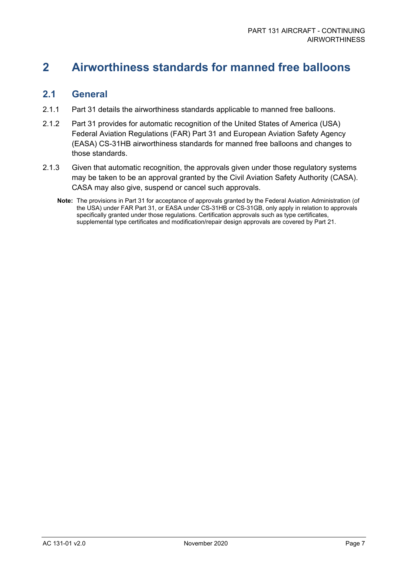### <span id="page-7-0"></span>**2 Airworthiness standards for manned free balloons**

#### <span id="page-7-1"></span>**2.1 General**

- 2.1.1 Part 31 details the airworthiness standards applicable to manned free balloons.
- 2.1.2 Part 31 provides for automatic recognition of the United States of America (USA) Federal Aviation Regulations (FAR) Part 31 and European Aviation Safety Agency (EASA) CS-31HB airworthiness standards for manned free balloons and changes to those standards.
- 2.1.3 Given that automatic recognition, the approvals given under those regulatory systems may be taken to be an approval granted by the Civil Aviation Safety Authority (CASA). CASA may also give, suspend or cancel such approvals.
	- **Note:** The provisions in Part 31 for acceptance of approvals granted by the Federal Aviation Administration (of the USA) under FAR Part 31, or EASA under CS-31HB or CS-31GB, only apply in relation to approvals specifically granted under those regulations. Certification approvals such as type certificates, supplemental type certificates and modification/repair design approvals are covered by Part 21.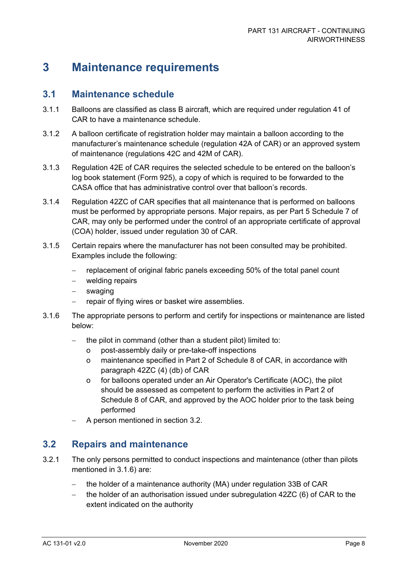### <span id="page-8-0"></span>**3 Maintenance requirements**

#### <span id="page-8-1"></span>**3.1 Maintenance schedule**

- 3.1.1 Balloons are classified as class B aircraft, which are required under regulation 41 of CAR to have a maintenance schedule.
- 3.1.2 A balloon certificate of registration holder may maintain a balloon according to the manufacturer's maintenance schedule (regulation 42A of CAR) or an approved system of maintenance (regulations 42C and 42M of CAR).
- 3.1.3 Regulation 42E of CAR requires the selected schedule to be entered on the balloon's log book statement (Form 925), a copy of which is required to be forwarded to the CASA office that has administrative control over that balloon's records.
- 3.1.4 Regulation 42ZC of CAR specifies that all maintenance that is performed on balloons must be performed by appropriate persons. Major repairs, as per Part 5 Schedule 7 of CAR, may only be performed under the control of an appropriate certificate of approval (COA) holder, issued under regulation 30 of CAR.
- 3.1.5 Certain repairs where the manufacturer has not been consulted may be prohibited. Examples include the following:
	- − replacement of original fabric panels exceeding 50% of the total panel count
	- − welding repairs
	- − swaging
	- − repair of flying wires or basket wire assemblies.
- <span id="page-8-3"></span>3.1.6 The appropriate persons to perform and certify for inspections or maintenance are listed below:
	- the pilot in command (other than a student pilot) limited to:
		- o post-assembly daily or pre-take-off inspections
		- o maintenance specified in Part 2 of Schedule 8 of CAR, in accordance with paragraph 42ZC (4) (db) of CAR
		- o for balloons operated under an Air Operator's Certificate (AOC), the pilot should be assessed as competent to perform the activities in Part 2 of Schedule 8 of CAR, and approved by the AOC holder prior to the task being performed
	- − A person mentioned in section [3.2.](#page-8-2)

#### <span id="page-8-2"></span>**3.2 Repairs and maintenance**

- 3.2.1 The only persons permitted to conduct inspections and maintenance (other than pilots mentioned in [3.1.6\)](#page-8-3) are:
	- the holder of a maintenance authority (MA) under regulation 33B of CAR
	- the holder of an authorisation issued under subregulation 42ZC (6) of CAR to the extent indicated on the authority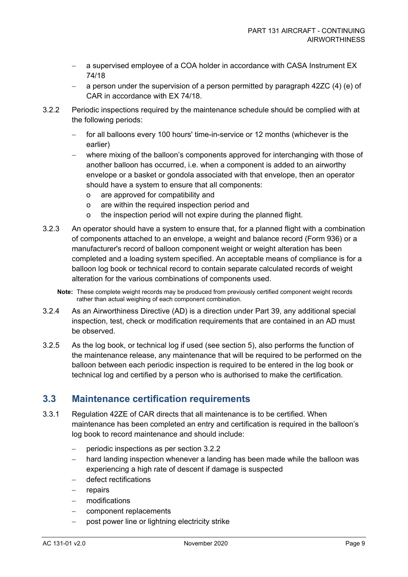- a supervised employee of a COA holder in accordance with CASA Instrument EX 74/18
- − a person under the supervision of a person permitted by paragraph 42ZC (4) (e) of CAR in accordance with EX 74/18.
- <span id="page-9-1"></span>3.2.2 Periodic inspections required by the maintenance schedule should be complied with at the following periods:
	- for all balloons every 100 hours' time-in-service or 12 months (whichever is the earlier)
	- − where mixing of the balloon's components approved for interchanging with those of another balloon has occurred, i.e. when a component is added to an airworthy envelope or a basket or gondola associated with that envelope, then an operator should have a system to ensure that all components:
		- o are approved for compatibility and
		- o are within the required inspection period and
		- o the inspection period will not expire during the planned flight.
- 3.2.3 An operator should have a system to ensure that, for a planned flight with a combination of components attached to an envelope, a weight and balance record (Form 936) or a manufacturer's record of balloon component weight or weight alteration has been completed and a loading system specified. An acceptable means of compliance is for a balloon log book or technical record to contain separate calculated records of weight alteration for the various combinations of components used.
	- **Note:** These complete weight records may be produced from previously certified component weight records rather than actual weighing of each component combination.
- 3.2.4 As an Airworthiness Directive (AD) is a direction under Part 39, any additional special inspection, test, check or modification requirements that are contained in an AD must be observed.
- 3.2.5 As the log book, or technical log if used (see section [5\)](#page-12-0), also performs the function of the maintenance release, any maintenance that will be required to be performed on the balloon between each periodic inspection is required to be entered in the log book or technical log and certified by a person who is authorised to make the certification.

#### <span id="page-9-0"></span>**3.3 Maintenance certification requirements**

- 3.3.1 Regulation 42ZE of CAR directs that all maintenance is to be certified. When maintenance has been completed an entry and certification is required in the balloon's log book to record maintenance and should include:
	- − periodic inspections as per section [3.2.2](#page-9-1)
	- − hard landing inspection whenever a landing has been made while the balloon was experiencing a high rate of descent if damage is suspected
	- − defect rectifications
	- − repairs
	- − modifications
	- component replacements
	- post power line or lightning electricity strike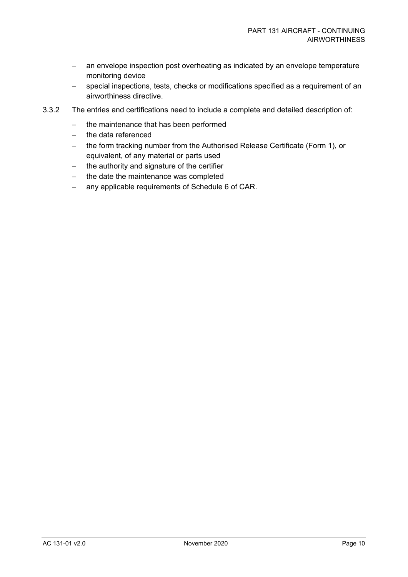- − an envelope inspection post overheating as indicated by an envelope temperature monitoring device
- − special inspections, tests, checks or modifications specified as a requirement of an airworthiness directive.
- 3.3.2 The entries and certifications need to include a complete and detailed description of:
	- − the maintenance that has been performed
	- − the data referenced
	- − the form tracking number from the Authorised Release Certificate (Form 1), or equivalent, of any material or parts used
	- − the authority and signature of the certifier
	- − the date the maintenance was completed
	- − any applicable requirements of Schedule 6 of CAR.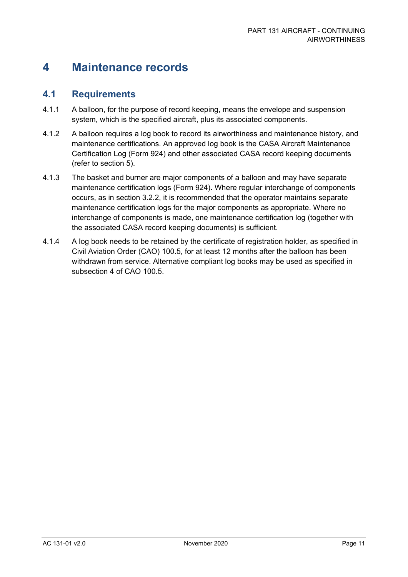### <span id="page-11-0"></span>**4 Maintenance records**

#### <span id="page-11-1"></span>**4.1 Requirements**

- 4.1.1 A balloon, for the purpose of record keeping, means the envelope and suspension system, which is the specified aircraft, plus its associated components.
- 4.1.2 A balloon requires a log book to record its airworthiness and maintenance history, and maintenance certifications. An approved log book is the CASA Aircraft Maintenance Certification Log (Form 924) and other associated CASA record keeping documents (refer to section [5\)](#page-12-0).
- 4.1.3 The basket and burner are major components of a balloon and may have separate maintenance certification logs (Form 924). Where regular interchange of components occurs, as in section [3.2.2,](#page-9-1) it is recommended that the operator maintains separate maintenance certification logs for the major components as appropriate. Where no interchange of components is made, one maintenance certification log (together with the associated CASA record keeping documents) is sufficient.
- 4.1.4 A log book needs to be retained by the certificate of registration holder, as specified in Civil Aviation Order (CAO) 100.5, for at least 12 months after the balloon has been withdrawn from service. Alternative compliant log books may be used as specified in subsection 4 of CAO 100.5.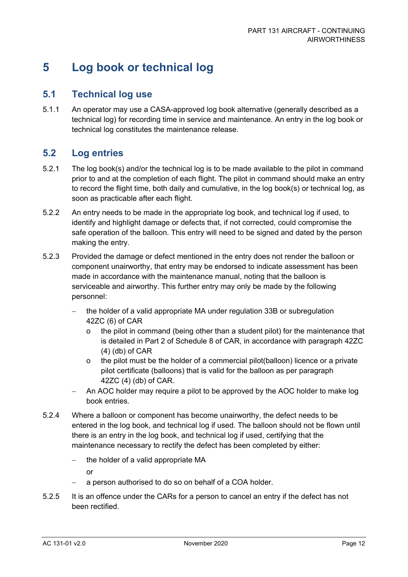### <span id="page-12-0"></span>**5 Log book or technical log**

#### <span id="page-12-1"></span>**5.1 Technical log use**

5.1.1 An operator may use a CASA-approved log book alternative (generally described as a technical log) for recording time in service and maintenance. An entry in the log book or technical log constitutes the maintenance release.

### <span id="page-12-2"></span>**5.2 Log entries**

- 5.2.1 The log book(s) and/or the technical log is to be made available to the pilot in command prior to and at the completion of each flight. The pilot in command should make an entry to record the flight time, both daily and cumulative, in the log book(s) or technical log, as soon as practicable after each flight.
- 5.2.2 An entry needs to be made in the appropriate log book, and technical log if used, to identify and highlight damage or defects that, if not corrected, could compromise the safe operation of the balloon. This entry will need to be signed and dated by the person making the entry.
- 5.2.3 Provided the damage or defect mentioned in the entry does not render the balloon or component unairworthy, that entry may be endorsed to indicate assessment has been made in accordance with the maintenance manual, noting that the balloon is serviceable and airworthy. This further entry may only be made by the following personnel:
	- the holder of a valid appropriate MA under regulation 33B or subregulation 42ZC (6) of CAR
		- the pilot in command (being other than a student pilot) for the maintenance that is detailed in Part 2 of Schedule 8 of CAR, in accordance with paragraph 42ZC (4) (db) of CAR
		- o the pilot must be the holder of a commercial pilot(balloon) licence or a private pilot certificate (balloons) that is valid for the balloon as per paragraph 42ZC (4) (db) of CAR.
	- An AOC holder may require a pilot to be approved by the AOC holder to make log book entries.
- 5.2.4 Where a balloon or component has become unairworthy, the defect needs to be entered in the log book, and technical log if used. The balloon should not be flown until there is an entry in the log book, and technical log if used, certifying that the maintenance necessary to rectify the defect has been completed by either:
	- − the holder of a valid appropriate MA

or

- a person authorised to do so on behalf of a COA holder.
- 5.2.5 It is an offence under the CARs for a person to cancel an entry if the defect has not been rectified.